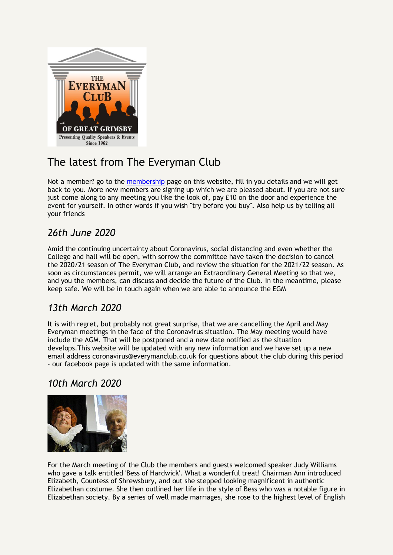

# The latest from The Everyman Club

Not a member? go to the [membership](membership.html) page on this website, fill in you details and we will get back to you. More new members are signing up which we are pleased about. If you are not sure just come along to any meeting you like the look of, pay £10 on the door and experience the event for yourself. In other words if you wish "try before you buy". Also help us by telling all your friends

## *26th June 2020*

Amid the continuing uncertainty about Coronavirus, social distancing and even whether the College and hall will be open, with sorrow the committee have taken the decision to cancel the 2020/21 season of The Everyman Club, and review the situation for the 2021/22 season. As soon as circumstances permit, we will arrange an Extraordinary General Meeting so that we, and you the members, can discuss and decide the future of the Club. In the meantime, please keep safe. We will be in touch again when we are able to announce the EGM

## *13th March 2020*

It is with regret, but probably not great surprise, that we are cancelling the April and May Everyman meetings in the face of the Coronavirus situation. The May meeting would have include the AGM. That will be postponed and a new date notified as the situation develops.This website will be updated with any new information and we have set up a new email address coronavirus@everymanclub.co.uk for questions about the club during this period - our facebook page is updated with the same information.

## *10th March 2020*



For the March meeting of the Club the members and guests welcomed speaker Judy Williams who gave a talk entitled 'Bess of Hardwick'. What a wonderful treat! Chairman Ann introduced Elizabeth, Countess of Shrewsbury, and out she stepped looking magnificent in authentic Elizabethan costume. She then outlined her life in the style of Bess who was a notable figure in Elizabethan society. By a series of well made marriages, she rose to the highest level of English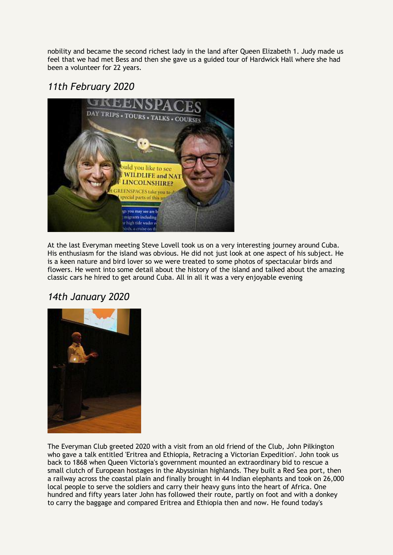nobility and became the second richest lady in the land after Queen Elizabeth 1. Judy made us feel that we had met Bess and then she gave us a guided tour of Hardwick Hall where she had been a volunteer for 22 years.

## *11th February 2020*



At the last Everyman meeting Steve Lovell took us on a very interesting journey around Cuba. His enthusiasm for the island was obvious. He did not just look at one aspect of his subject. He is a keen nature and bird lover so we were treated to some photos of spectacular birds and flowers. He went into some detail about the history of the island and talked about the amazing classic cars he hired to get around Cuba. All in all it was a very enjoyable evening

### *14th January 2020*



The Everyman Club greeted 2020 with a visit from an old friend of the Club, John Pilkington who gave a talk entitled 'Eritrea and Ethiopia, Retracing a Victorian Expedition'. John took us back to 1868 when Queen Victoria's government mounted an extraordinary bid to rescue a small clutch of European hostages in the Abyssinian highlands. They built a Red Sea port, then a railway across the coastal plain and finally brought in 44 Indian elephants and took on 26,000 local people to serve the soldiers and carry their heavy guns into the heart of Africa. One hundred and fifty years later John has followed their route, partly on foot and with a donkey to carry the baggage and compared Eritrea and Ethiopia then and now. He found today's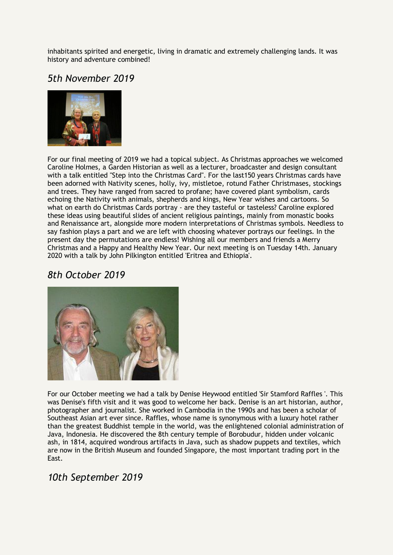inhabitants spirited and energetic, living in dramatic and extremely challenging lands. It was history and adventure combined!

### *5th November 2019*



For our final meeting of 2019 we had a topical subject. As Christmas approaches we welcomed Caroline Holmes, a Garden Historian as well as a lecturer, broadcaster and design consultant with a talk entitled "Step into the Christmas Card". For the last150 years Christmas cards have been adorned with Nativity scenes, holly, ivy, mistletoe, rotund Father Christmases, stockings and trees. They have ranged from sacred to profane; have covered plant symbolism, cards echoing the Nativity with animals, shepherds and kings, New Year wishes and cartoons. So what on earth do Christmas Cards portray - are they tasteful or tasteless? Caroline explored these ideas using beautiful slides of ancient religious paintings, mainly from monastic books and Renaissance art, alongside more modern interpretations of Christmas symbols. Needless to say fashion plays a part and we are left with choosing whatever portrays our feelings. In the present day the permutations are endless! Wishing all our members and friends a Merry Christmas and a Happy and Healthy New Year. Our next meeting is on Tuesday 14th. January 2020 with a talk by John Pilkington entitled 'Eritrea and Ethiopia'.

#### *8th October 2019*



For our October meeting we had a talk by Denise Heywood entitled 'Sir Stamford Raffles '. This was Denise's fifth visit and it was good to welcome her back. Denise is an art historian, author, photographer and journalist. She worked in Cambodia in the 1990s and has been a scholar of Southeast Asian art ever since. Raffles, whose name is synonymous with a luxury hotel rather than the greatest Buddhist temple in the world, was the enlightened colonial administration of Java, Indonesia. He discovered the 8th century temple of Borobudur, hidden under volcanic ash, in 1814, acquired wondrous artifacts in Java, such as shadow puppets and textiles, which are now in the British Museum and founded Singapore, the most important trading port in the East.

### *10th September 2019*